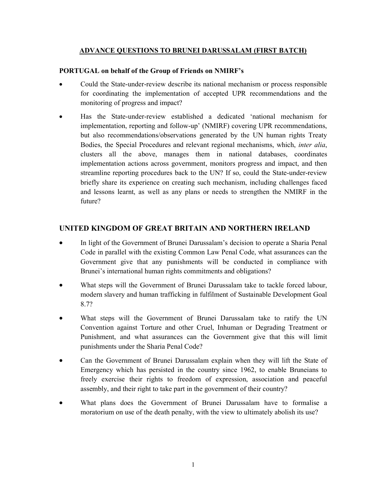#### ADVANCE QUESTIONS TO BRUNEI DARUSSALAM (FIRST BATCH)

#### PORTUGAL on behalf of the Group of Friends on NMIRF's

- Could the State-under-review describe its national mechanism or process responsible for coordinating the implementation of accepted UPR recommendations and the monitoring of progress and impact?
- Has the State-under-review established a dedicated 'national mechanism for implementation, reporting and follow-up' (NMIRF) covering UPR recommendations, but also recommendations/observations generated by the UN human rights Treaty Bodies, the Special Procedures and relevant regional mechanisms, which, inter alia, clusters all the above, manages them in national databases, coordinates implementation actions across government, monitors progress and impact, and then streamline reporting procedures back to the UN? If so, could the State-under-review briefly share its experience on creating such mechanism, including challenges faced and lessons learnt, as well as any plans or needs to strengthen the NMIRF in the future?

## UNITED KINGDOM OF GREAT BRITAIN AND NORTHERN IRELAND

- In light of the Government of Brunei Darussalam's decision to operate a Sharia Penal Code in parallel with the existing Common Law Penal Code, what assurances can the Government give that any punishments will be conducted in compliance with Brunei's international human rights commitments and obligations?
- What steps will the Government of Brunei Darussalam take to tackle forced labour, modern slavery and human trafficking in fulfilment of Sustainable Development Goal 8.7?
- What steps will the Government of Brunei Darussalam take to ratify the UN Convention against Torture and other Cruel, Inhuman or Degrading Treatment or Punishment, and what assurances can the Government give that this will limit punishments under the Sharia Penal Code?
- Can the Government of Brunei Darussalam explain when they will lift the State of Emergency which has persisted in the country since 1962, to enable Bruneians to freely exercise their rights to freedom of expression, association and peaceful assembly, and their right to take part in the government of their country?
- What plans does the Government of Brunei Darussalam have to formalise a moratorium on use of the death penalty, with the view to ultimately abolish its use?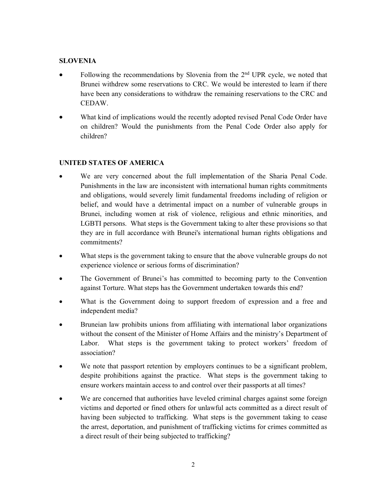## SLOVENIA

- Following the recommendations by Slovenia from the 2<sup>nd</sup> UPR cycle, we noted that Brunei withdrew some reservations to CRC. We would be interested to learn if there have been any considerations to withdraw the remaining reservations to the CRC and CEDAW.
- What kind of implications would the recently adopted revised Penal Code Order have on children? Would the punishments from the Penal Code Order also apply for children?

# UNITED STATES OF AMERICA

- We are very concerned about the full implementation of the Sharia Penal Code. Punishments in the law are inconsistent with international human rights commitments and obligations, would severely limit fundamental freedoms including of religion or belief, and would have a detrimental impact on a number of vulnerable groups in Brunei, including women at risk of violence, religious and ethnic minorities, and LGBTI persons. What steps is the Government taking to alter these provisions so that they are in full accordance with Brunei's international human rights obligations and commitments?
- What steps is the government taking to ensure that the above vulnerable groups do not experience violence or serious forms of discrimination?
- The Government of Brunei's has committed to becoming party to the Convention against Torture. What steps has the Government undertaken towards this end?
- What is the Government doing to support freedom of expression and a free and independent media?
- Bruneian law prohibits unions from affiliating with international labor organizations without the consent of the Minister of Home Affairs and the ministry's Department of Labor. What steps is the government taking to protect workers' freedom of association?
- We note that passport retention by employers continues to be a significant problem, despite prohibitions against the practice. What steps is the government taking to ensure workers maintain access to and control over their passports at all times?
- We are concerned that authorities have leveled criminal charges against some foreign victims and deported or fined others for unlawful acts committed as a direct result of having been subjected to trafficking. What steps is the government taking to cease the arrest, deportation, and punishment of trafficking victims for crimes committed as a direct result of their being subjected to trafficking?